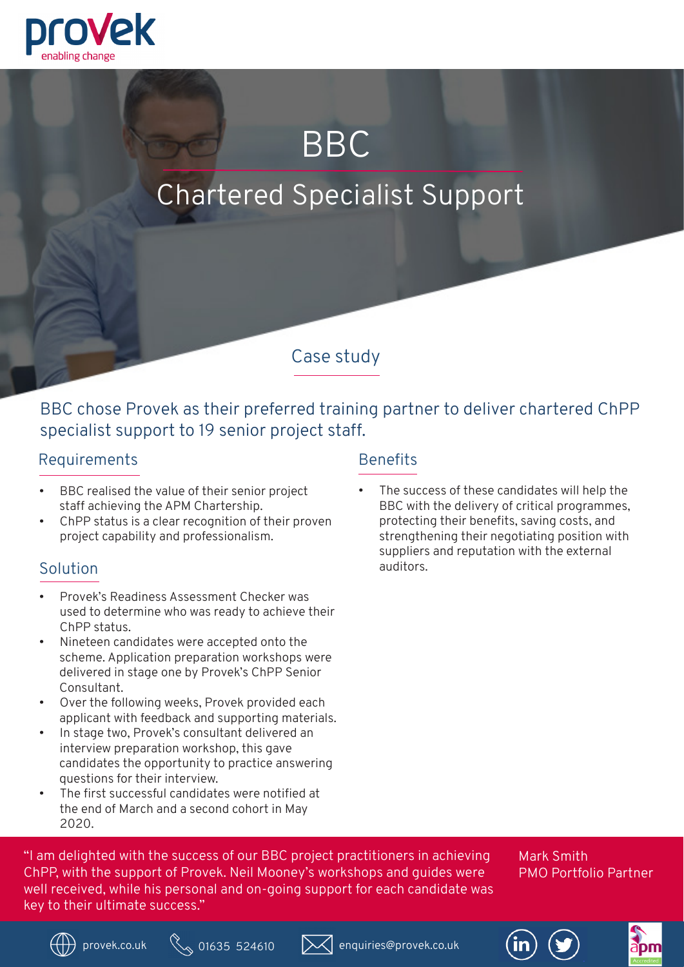

# BBC

## Chartered Specialist Support

Case study

BBC chose Provek as their preferred training partner to deliver chartered ChPP specialist support to 19 senior project staff.

#### Requirements

- BBC realised the value of their senior project staff achieving the APM Chartership.
- ChPP status is a clear recognition of their proven project capability and professionalism.

- Provek's Readiness Assessment Checker was used to determine who was ready to achieve their ChPP status.
- Nineteen candidates were accepted onto the scheme. Application preparation workshops were delivered in stage one by Provek's ChPP Senior Consultant.
- Over the following weeks, Provek provided each applicant with feedback and supporting materials.
- In stage two, Provek's consultant delivered an interview preparation workshop, this gave candidates the opportunity to practice answering questions for their interview.
- The first successful candidates were notified at the end of March and a second cohort in May 2020.

#### **Benefits**

The success of these candidates will help the BBC with the delivery of critical programmes, protecting their benefits, saving costs, and strengthening their negotiating position with suppliers and reputation with the external Solution auditors.

"I am delighted with the success of our BBC project practitioners in achieving ChPP, with the support of Provek. Neil Mooney's workshops and guides were well received, while his personal and on-going support for each candidate was key to their ultimate success."

Mark Smith PMO Portfolio Partner